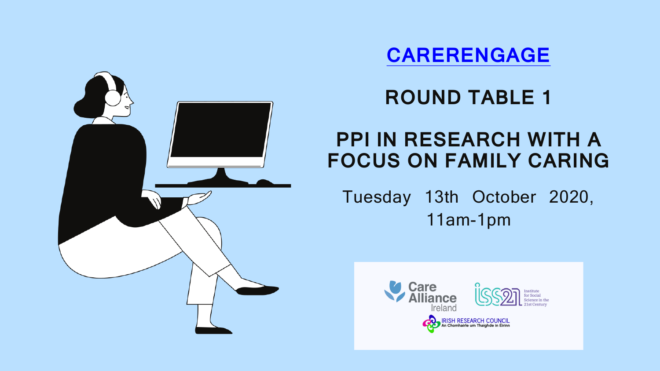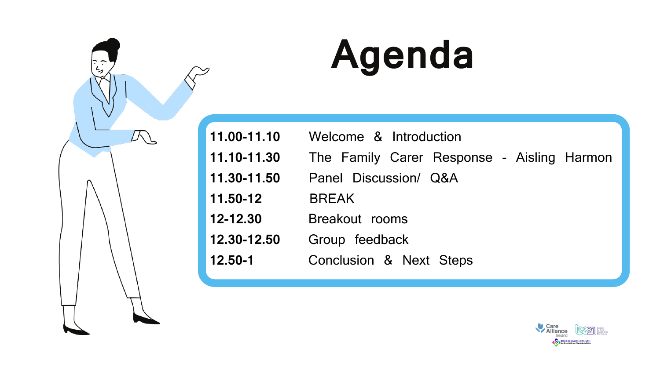- **11.00-11.10** Welcome & Introduction
- **11.10-11.30** The Family Carer Response Aisling Harmon
- **11.30-11.50** Panel Discussion/ Q&A
- **12-12.30** Breakout rooms
- **12.30-12.50** Group feedback
- **12.50-1** Conclusion & Next Steps



- 
- 
- 
- **11.50-12** BREAK
- 
- 
- 

# **Agenda**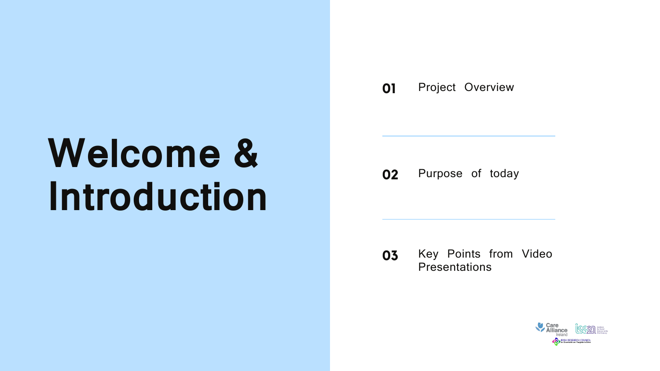# **Welcome & Introduction**

**01** Project Overview

**02** Purpose of today

### **03** Key Points from Video **Presentations**

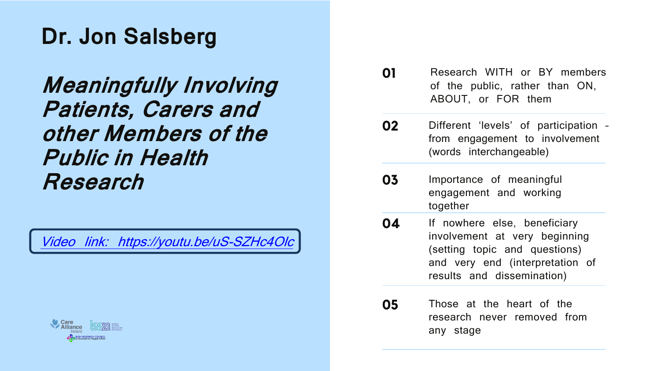## **Dr. Jon Salsberg**

## **Meaningfully Involving Patients, Carers and other Members of the Public in Health Research**

[Video link: https://youtu.be/uS](https://youtu.be/uS-SZHc4Olc)-SZHc4C

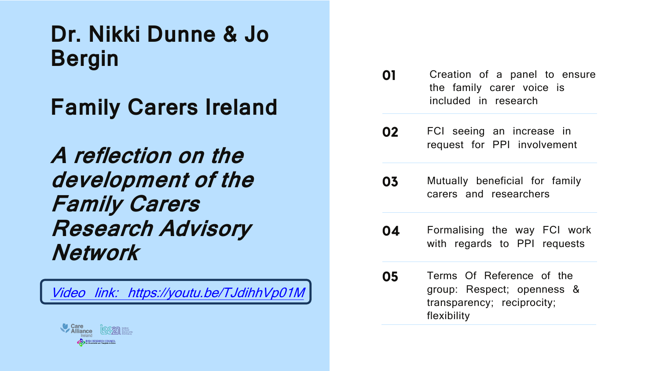**Dr. Nikki Dunne & Jo Bergin** 

## **Family Carers Ireland**

**A reflection on the development of the Family Carers Research Advisory Network**

Video link: https://youtu.be/TJdihhVp

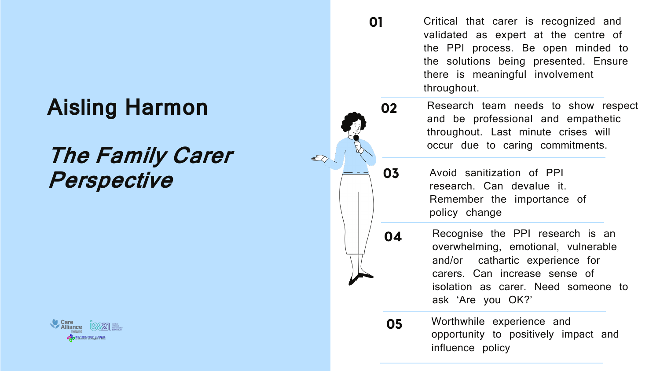## **Aisling Harmon**

## **The Family Carer Perspective**



**01** Critical that carer is recognized and validated as expert at the centre of the PPI process. Be open minded to the solutions being presented. Ensure there is meaningful involvement throughout.

02 Research team needs to show respect and be professional and empathetic throughout. Last minute crises will occur due to caring commitments.

03 Avoid sanitization of PPI research. Can devalue it. Remember the importance of policy change



Worthwhile experience and opportunity to positively impact and influence policy

05

Recognise the PPI research is an overwhelming, emotional, vulnerable and/or cathartic experience for carers. Can increase sense of isolation as carer. Need someone to ask 'Are you OK?'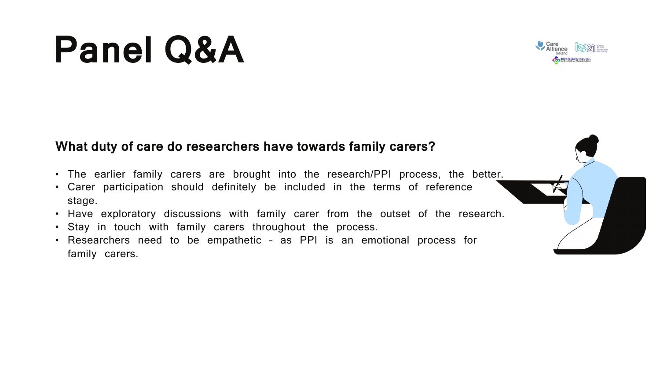### **What duty of care do researchers have towards family carers?**

- The earlier family carers are brought into the research/PPI process, the better.
- Carer participation should definitely be included in the terms of reference stage.
- Have exploratory discussions with family carer from the outset of the research.
- Stay in touch with family carers throughout the process.
- Researchers need to be empathetic as PPI is an emotional process for family carers.





## **Panel Q&A**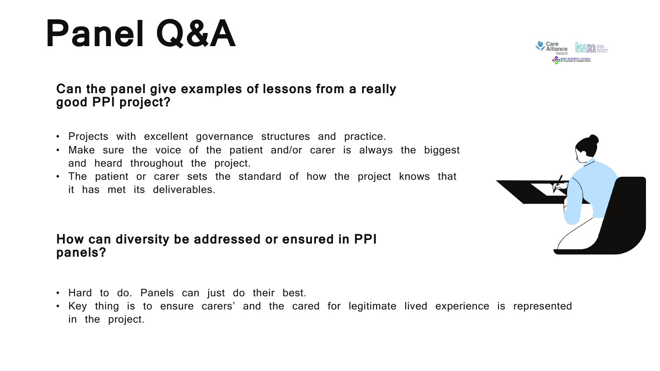## **Panel Q&A**

### **Can the panel give examples of lessons from a really good PPI project?**

- Projects with excellent governance structures and practice.
- Make sure the voice of the patient and/or carer is always the biggest and heard throughout the project.
- The patient or carer sets the standard of how the project knows that it has met its deliverables.

### **How can diversity be addressed or ensured in PPI panels?**

- Hard to do. Panels can just do their best.
- Key thing is to ensure carers' and the cared for legitimate lived experience is represented in the project.



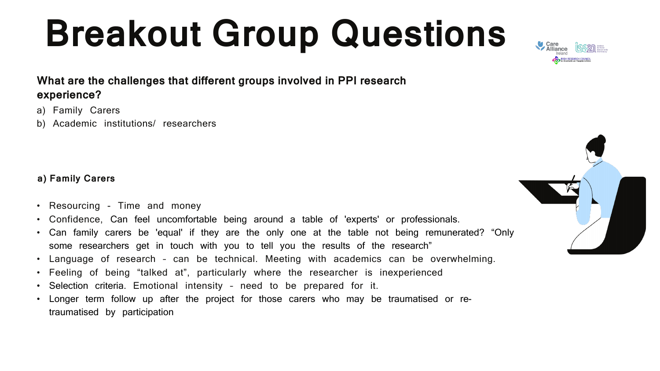### **What are the challenges that different groups involved in PPI research experience?**

- a) Family Carers
- b) Academic institutions/ researchers

# **Breakout Group Questions**

### **a) Family Carers**

- Resourcing Time and money
- Confidence, Can feel uncomfortable being around a table of 'experts' or professionals.
- Can family carers be 'equal' if they are the only one at the table not being remunerated? "Only some researchers get in touch with you to tell you the results of the research"
- Language of research can be technical. Meeting with academics can be overwhelming.
- Feeling of being "talked at", particularly where the researcher is inexperienced
- Selection criteria. Emotional intensity need to be prepared for it.
- Longer term follow up after the project for those carers who may be traumatised or retraumatised by participation





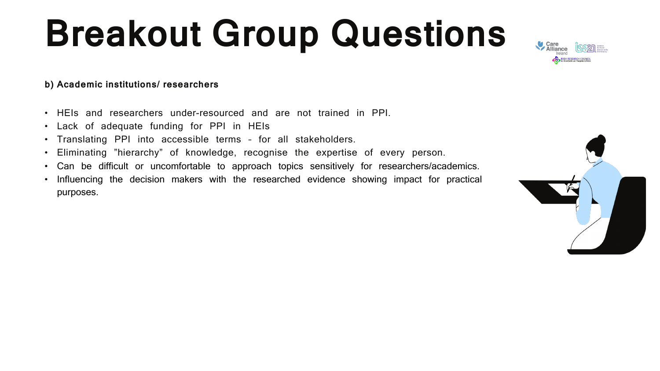### **b) Academic institutions/ researchers**

- HEIs and researchers under-resourced and are not trained in PPI.
- Lack of adequate funding for PPI in HEIs
- Translating PPI into accessible terms for all stakeholders.
- Eliminating "hierarchy" of knowledge, recognise the expertise of every person.
- Can be difficult or uncomfortable to approach topics sensitively for researchers/academics.
- Influencing the decision makers with the researched evidence showing impact for practical purposes.





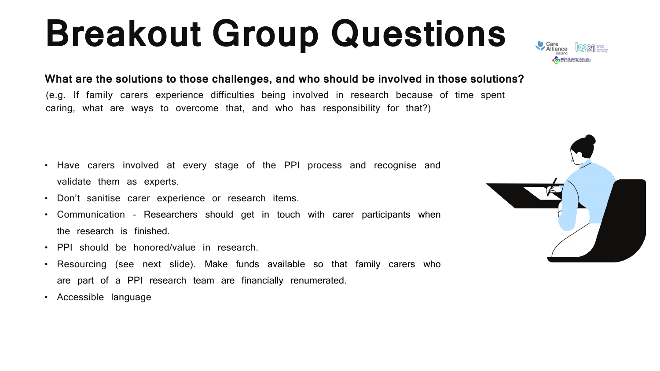### **What are the solutions to those challenges, and who should be involved in those solutions?**

(e.g. If family carers experience difficulties being involved in research because of time spent caring, what are ways to overcome that, and who has responsibility for that?)

- Have carers involved at every stage of the PPI process and recognise and validate them as experts.
- Don't sanitise carer experience or research items.
- Communication Researchers should get in touch with carer participants when the research is finished.
- PPI should be honored/value in research.
- Resourcing (see next slide). Make funds available so that family carers who are part of a PPI research team are financially renumerated.
- Accessible language





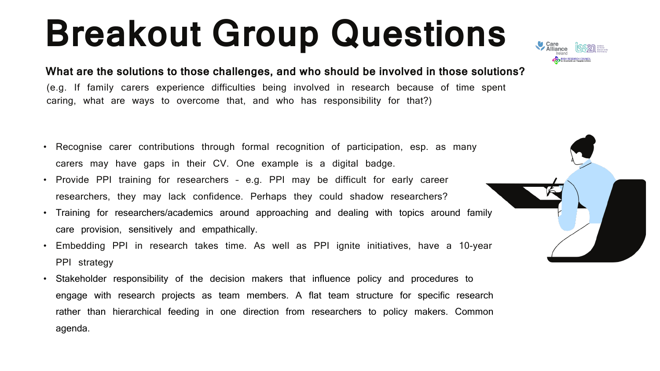**What are the solutions to those challenges, and who should be involved in those solutions?** (e.g. If family carers experience difficulties being involved in research because of time spent caring, what are ways to overcome that, and who has responsibility for that?)

- Recognise carer contributions through formal recognition of participation, esp. as many carers may have gaps in their CV. One example is a digital badge.
- Provide PPI training for researchers e.g. PPI may be difficult for early career researchers, they may lack confidence. Perhaps they could shadow researchers?
- Training for researchers/academics around approaching and dealing with topics around family care provision, sensitively and empathically.
- Embedding PPI in research takes time. As well as PPI ignite initiatives, have a 10-year PPI strategy
- Stakeholder responsibility of the decision makers that influence policy and procedures to engage with research projects as team members. A flat team structure for specific research rather than hierarchical feeding in one direction from researchers to policy makers. Common agenda.





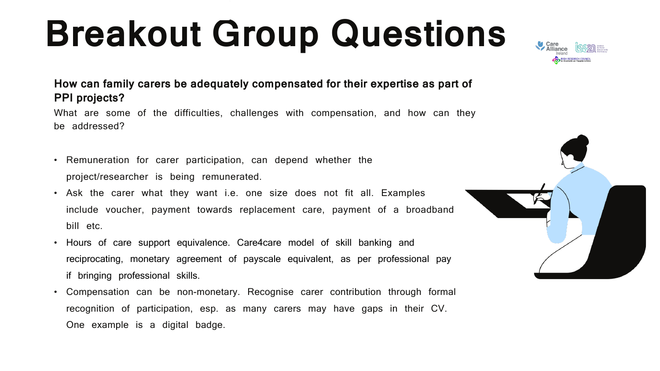### **How can family carers be adequately compensated for their expertise as part of PPI projects?**

What are some of the difficulties, challenges with compensation, and how can they be addressed?

- Remuneration for carer participation, can depend whether the project/researcher is being remunerated.
- Ask the carer what they want i.e. one size does not fit all. Examples include voucher, payment towards replacement care, payment of a broadband bill etc.
- Hours of care support equivalence. Care4care model of skill banking and reciprocating, monetary agreement of payscale equivalent, as per professional pay if bringing professional skills.
- Compensation can be non-monetary. Recognise carer contribution through formal recognition of participation, esp. as many carers may have gaps in their CV. One example is a digital badge.